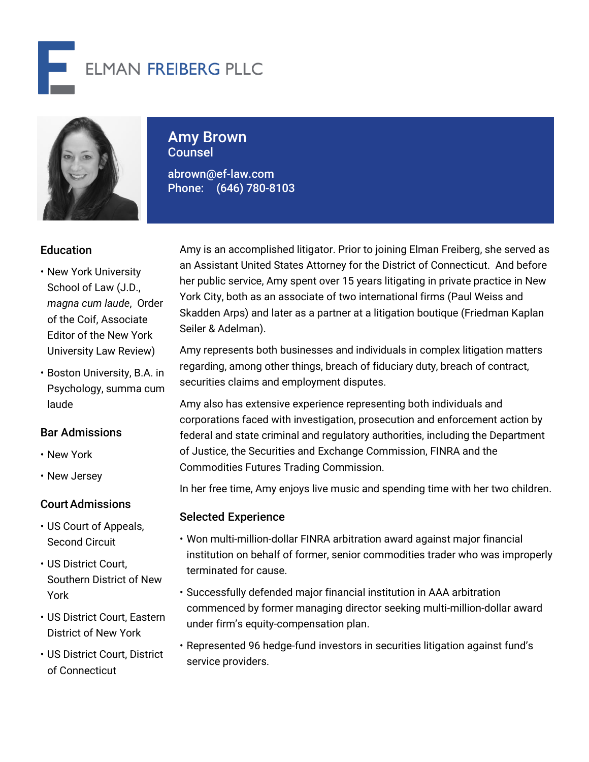



# Amy Brown Counsel

abrown@ef-law.com Phone: (646) 780-8103

# **Education**

- New York University School of Law (J.D., *magna cum laude*, Order of the Coif, Associate Editor of the New York University Law Review)
- Boston University, B.A. in Psychology, summa cum laude

#### Bar Admissions

- New York
- New Jersey

#### CourtAdmissions

- US Court of Appeals, Second Circuit
- US District Court, Southern District of New York
- US District Court, Eastern District of New York
- US District Court, District of Connecticut

Amy is an accomplished litigator. Prior to joining Elman Freiberg, she served as an Assistant United States Attorney for the District of Connecticut. And before her public service, Amy spent over 15 years litigating in private practice in New York City, both as an associate of two international firms (Paul Weiss and Skadden Arps) and later as a partner at a litigation boutique (Friedman Kaplan Seiler & Adelman).

Amy represents both businesses and individuals in complex litigation matters regarding, among other things, breach of fiduciary duty, breach of contract, securities claims and employment disputes.

Amy also has extensive experience representing both individuals and corporations faced with investigation, prosecution and enforcement action by federal and state criminal and regulatory authorities, including the Department of Justice, the Securities and Exchange Commission, FINRA and the Commodities Futures Trading Commission.

In her free time, Amy enjoys live music and spending time with her two children.

#### Selected Experience

- Won multi-million-dollar FINRA arbitration award against major financial institution on behalf of former, senior commodities trader who was improperly terminated for cause.
- Successfully defended major financial institution in AAA arbitration commenced by former managing director seeking multi-million-dollar award under firm's equity-compensation plan.
- Represented 96 hedge-fund investors in securities litigation against fund's service providers.